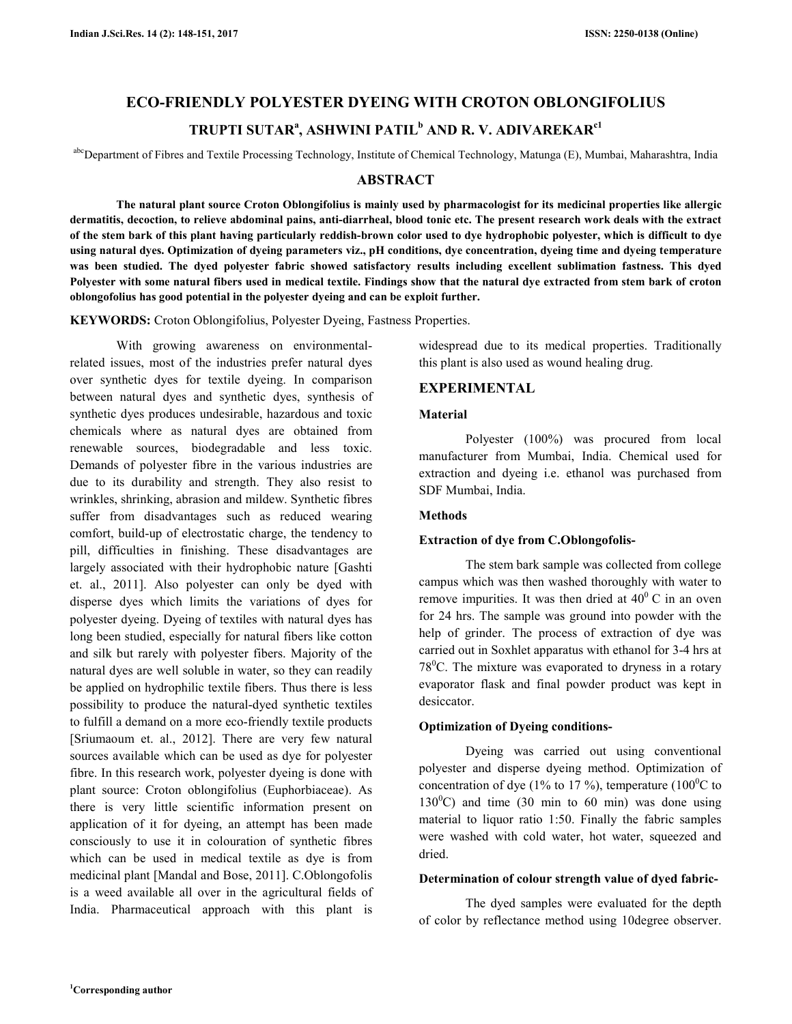# **ECO-FRIENDLY POLYESTER DYEING WITH CROTON OBLONGIFOLIUS TRUPTI SUTAR<sup>a</sup> , ASHWINI PATIL<sup>b</sup> AND R. V. ADIVAREKARc1**

abcDepartment of Fibres and Textile Processing Technology, Institute of Chemical Technology, Matunga (E), Mumbai, Maharashtra, India

# **ABSTRACT**

 **The natural plant source Croton Oblongifolius is mainly used by pharmacologist for its medicinal properties like allergic dermatitis, decoction, to relieve abdominal pains, anti-diarrheal, blood tonic etc. The present research work deals with the extract of the stem bark of this plant having particularly reddish-brown color used to dye hydrophobic polyester, which is difficult to dye using natural dyes. Optimization of dyeing parameters viz., pH conditions, dye concentration, dyeing time and dyeing temperature was been studied. The dyed polyester fabric showed satisfactory results including excellent sublimation fastness. This dyed Polyester with some natural fibers used in medical textile. Findings show that the natural dye extracted from stem bark of croton oblongofolius has good potential in the polyester dyeing and can be exploit further.** 

**KEYWORDS:** Croton Oblongifolius, Polyester Dyeing, Fastness Properties.

 With growing awareness on environmentalrelated issues, most of the industries prefer natural dyes over synthetic dyes for textile dyeing. In comparison between natural dyes and synthetic dyes, synthesis of synthetic dyes produces undesirable, hazardous and toxic chemicals where as natural dyes are obtained from renewable sources, biodegradable and less toxic. Demands of polyester fibre in the various industries are due to its durability and strength. They also resist to wrinkles, shrinking, abrasion and mildew. Synthetic fibres suffer from disadvantages such as reduced wearing comfort, build-up of electrostatic charge, the tendency to pill, difficulties in finishing. These disadvantages are largely associated with their hydrophobic nature [Gashti et. al., 2011]. Also polyester can only be dyed with disperse dyes which limits the variations of dyes for polyester dyeing. Dyeing of textiles with natural dyes has long been studied, especially for natural fibers like cotton and silk but rarely with polyester fibers. Majority of the natural dyes are well soluble in water, so they can readily be applied on hydrophilic textile fibers. Thus there is less possibility to produce the natural-dyed synthetic textiles to fulfill a demand on a more eco-friendly textile products [Sriumaoum et. al., 2012]. There are very few natural sources available which can be used as dye for polyester fibre. In this research work, polyester dyeing is done with plant source: Croton oblongifolius (Euphorbiaceae). As there is very little scientific information present on application of it for dyeing, an attempt has been made consciously to use it in colouration of synthetic fibres which can be used in medical textile as dye is from medicinal plant [Mandal and Bose, 2011]. C.Oblongofolis is a weed available all over in the agricultural fields of India. Pharmaceutical approach with this plant is widespread due to its medical properties. Traditionally this plant is also used as wound healing drug.

# **EXPERIMENTAL**

# **Material**

 Polyester (100%) was procured from local manufacturer from Mumbai, India. Chemical used for extraction and dyeing i.e. ethanol was purchased from SDF Mumbai, India.

# **Methods**

# **Extraction of dye from C.Oblongofolis-**

 The stem bark sample was collected from college campus which was then washed thoroughly with water to remove impurities. It was then dried at  $40^{\circ}$  C in an oven for 24 hrs. The sample was ground into powder with the help of grinder. The process of extraction of dye was carried out in Soxhlet apparatus with ethanol for 3-4 hrs at  $78^{\circ}$ C. The mixture was evaporated to dryness in a rotary evaporator flask and final powder product was kept in desiccator.

# **Optimization of Dyeing conditions-**

 Dyeing was carried out using conventional polyester and disperse dyeing method. Optimization of concentration of dye (1% to 17 %), temperature (100<sup>o</sup>C to  $130^{\circ}$ C) and time (30 min to 60 min) was done using material to liquor ratio 1:50. Finally the fabric samples were washed with cold water, hot water, squeezed and dried.

# **Determination of colour strength value of dyed fabric-**

 The dyed samples were evaluated for the depth of color by reflectance method using 10degree observer.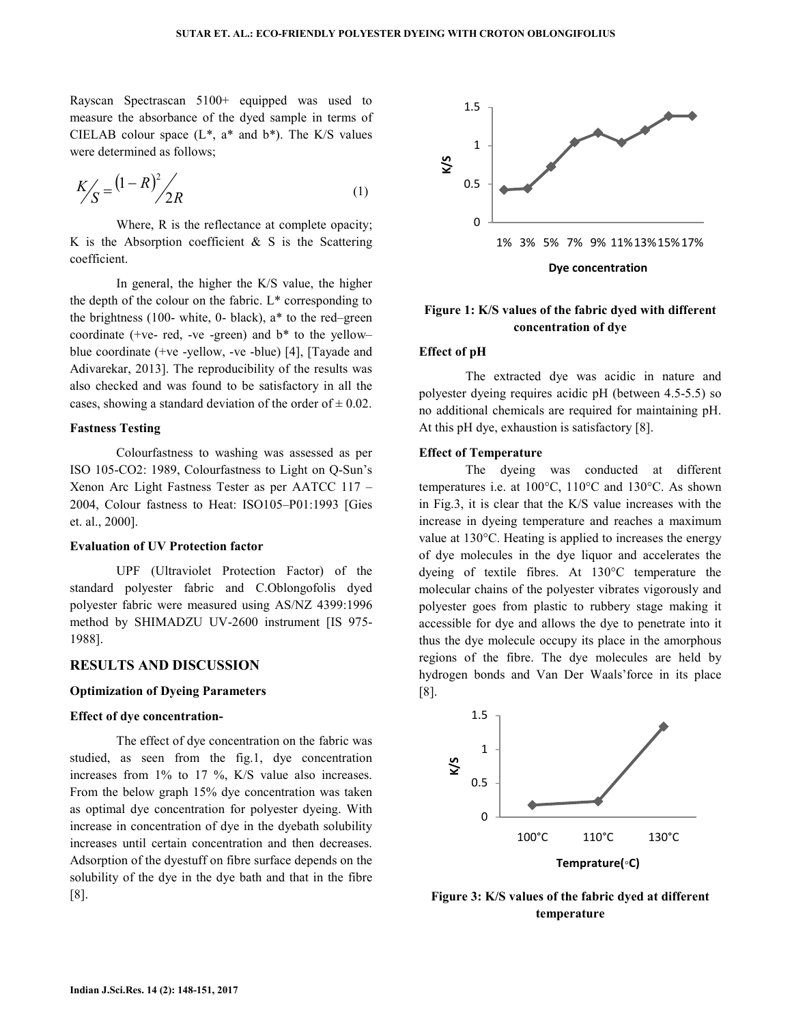Rayscan Spectrascan 5100+ equipped was used to measure the absorbance of the dyed sample in terms of CIELAB colour space  $(L^*, a^*$  and  $b^*)$ . The K/S values were determined as follows;

$$
K'_{S} = (1 - R)^{2} / 2R
$$
 (1)

 Where, R is the reflectance at complete opacity; K is the Absorption coefficient  $\&$  S is the Scattering coefficient.

 In general, the higher the K/S value, the higher the depth of the colour on the fabric.  $L^*$  corresponding to the brightness (100- white, 0- black), a\* to the red–green coordinate (+ve- red, -ve -green) and  $b^*$  to the yellowblue coordinate (+ve -yellow, -ve -blue) [4], [Tayade and Adivarekar, 2013]. The reproducibility of the results was also checked and was found to be satisfactory in all the cases, showing a standard deviation of the order of  $\pm$  0.02.

### **Fastness Testing**

 Colourfastness to washing was assessed as per ISO 105-CO2: 1989, Colourfastness to Light on Q-Sun's Xenon Arc Light Fastness Tester as per AATCC 117 – 2004, Colour fastness to Heat: ISO105–P01:1993 [Gies et. al., 2000].

# **Evaluation of UV Protection factor**

 UPF (Ultraviolet Protection Factor) of the standard polyester fabric and C.Oblongofolis dyed polyester fabric were measured using AS/NZ 4399:1996 method by SHIMADZU UV-2600 instrument [IS 975- 1988].

### **RESULTS AND DISCUSSION**

### **Optimization of Dyeing Parameters**

#### **Effect of dye concentration-**

 The effect of dye concentration on the fabric was studied, as seen from the fig.1, dye concentration increases from 1% to 17 %, K/S value also increases. From the below graph 15% dye concentration was taken as optimal dye concentration for polyester dyeing. With increase in concentration of dye in the dyebath solubility increases until certain concentration and then decreases. Adsorption of the dyestuff on fibre surface depends on the solubility of the dye in the dye bath and that in the fibre [8].



# **Figure 1: K/S values of the fabric dyed with different concentration of dye**

### **Effect of pH**

 The extracted dye was acidic in nature and polyester dyeing requires acidic pH (between 4.5-5.5) so no additional chemicals are required for maintaining pH. At this pH dye, exhaustion is satisfactory [8].

### **Effect of Temperature**

 The dyeing was conducted at different temperatures i.e. at 100°C, 110°C and 130°C. As shown in Fig.3, it is clear that the K/S value increases with the increase in dyeing temperature and reaches a maximum value at 130°C. Heating is applied to increases the energy of dye molecules in the dye liquor and accelerates the dyeing of textile fibres. At 130°C temperature the molecular chains of the polyester vibrates vigorously and polyester goes from plastic to rubbery stage making it accessible for dye and allows the dye to penetrate into it thus the dye molecule occupy its place in the amorphous regions of the fibre. The dye molecules are held by hydrogen bonds and Van Der Waals'force in its place [8].



**Figure 3: K/S values of the fabric dyed at different temperature**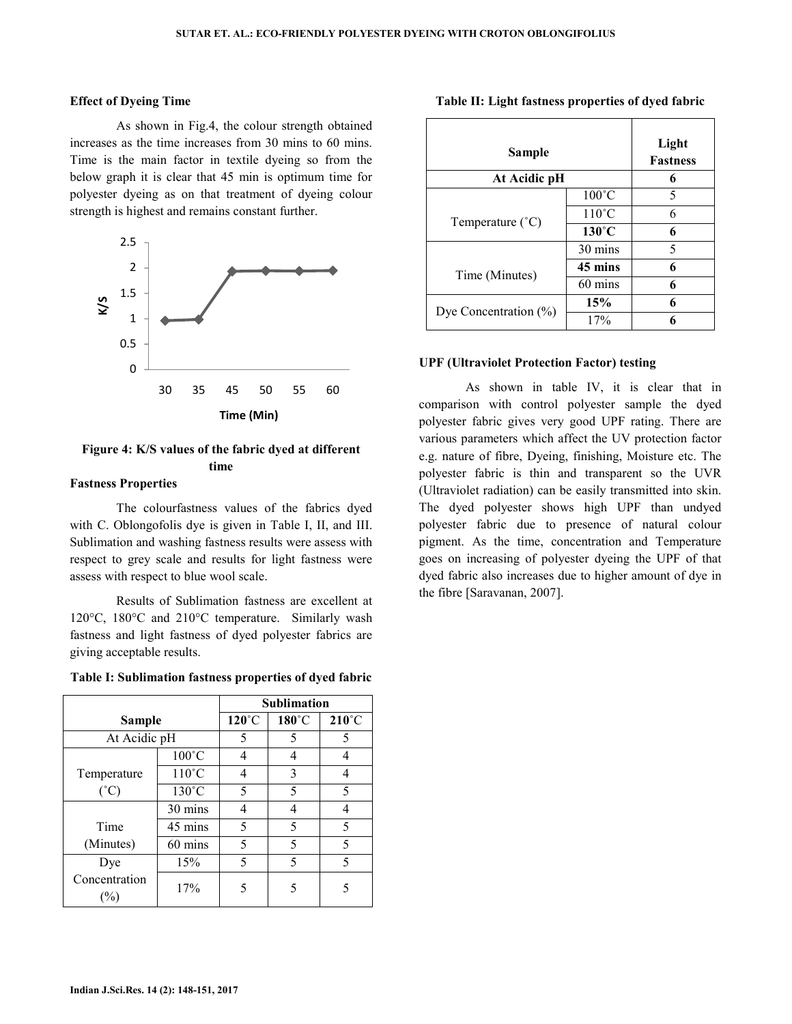### **Effect of Dyeing Time**

 As shown in Fig.4, the colour strength obtained increases as the time increases from 30 mins to 60 mins. Time is the main factor in textile dyeing so from the below graph it is clear that 45 min is optimum time for polyester dyeing as on that treatment of dyeing colour strength is highest and remains constant further.



# **Figure 4: K/S values of the fabric dyed at different time**

# **Fastness Properties**

 The colourfastness values of the fabrics dyed with C. Oblongofolis dye is given in Table I, II, and III. Sublimation and washing fastness results were assess with respect to grey scale and results for light fastness were assess with respect to blue wool scale.

 Results of Sublimation fastness are excellent at 120°C, 180°C and 210°C temperature. Similarly wash fastness and light fastness of dyed polyester fabrics are giving acceptable results.

| Table I: Sublimation fastness properties of dyed fabric |  |
|---------------------------------------------------------|--|
|---------------------------------------------------------|--|

|                      |                 | <b>Sublimation</b> |       |                 |
|----------------------|-----------------|--------------------|-------|-----------------|
| Sample               |                 | $120^{\circ}$ C    | 180°C | $210^{\circ}$ C |
| At Acidic pH         |                 | 5                  | 5     | 5               |
|                      | $100^{\circ}$ C | 4                  | 4     | 4               |
| Temperature          | $110^{\circ}$ C | 4                  | 3     | 4               |
| $(^{\circ}C)$        | $130^{\circ}$ C | 5                  | 5     | 5               |
|                      | 30 mins         | 4                  | 4     | 4               |
| Time                 | 45 mins         | 5                  | 5     | 5               |
| (Minutes)            | 60 mins         | 5                  | 5     | 5               |
| Dye                  | 15%             | 5                  | 5     | 5               |
| Concentration<br>(%) | 17%             | 5                  | 5     | 5               |

| Sample                    |                   | Light<br><b>Fastness</b> |  |
|---------------------------|-------------------|--------------------------|--|
| At Acidic pH              |                   | 6                        |  |
|                           | $100^{\circ}$ C   | 5                        |  |
| Temperature $(^{\circ}C)$ | $110^{\circ}$ C   | 6                        |  |
|                           | $130^{\circ}$ C   | 6                        |  |
|                           | 30 mins           | 5                        |  |
| Time (Minutes)            | 45 mins           | 6                        |  |
|                           | $60 \text{ mins}$ | 6                        |  |
|                           | 15%               | 6                        |  |
| Dye Concentration $(\%)$  | 17%               | 6                        |  |

#### **Table II: Light fastness properties of dyed fabric**

### **UPF (Ultraviolet Protection Factor) testing**

 As shown in table IV, it is clear that in comparison with control polyester sample the dyed polyester fabric gives very good UPF rating. There are various parameters which affect the UV protection factor e.g. nature of fibre, Dyeing, finishing, Moisture etc. The polyester fabric is thin and transparent so the UVR (Ultraviolet radiation) can be easily transmitted into skin. The dyed polyester shows high UPF than undyed polyester fabric due to presence of natural colour pigment. As the time, concentration and Temperature goes on increasing of polyester dyeing the UPF of that dyed fabric also increases due to higher amount of dye in the fibre [Saravanan, 2007].